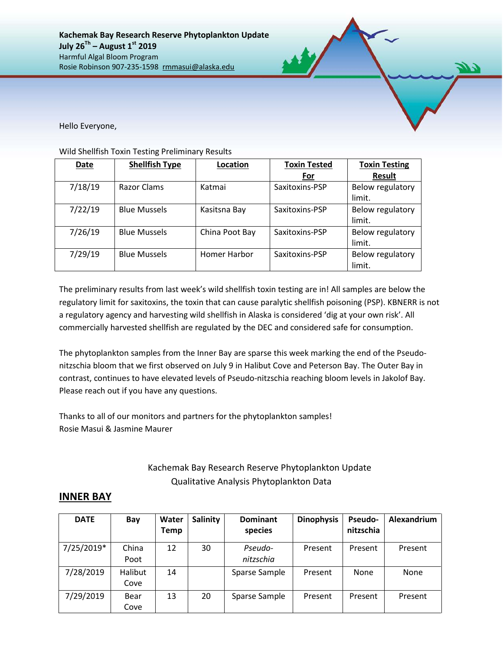Hello Everyone,

## Wild Shellfish Toxin Testing Preliminary Results

| Date    | <b>Shellfish Type</b> | Location       | <b>Toxin Tested</b> | <b>Toxin Testing</b>       |
|---------|-----------------------|----------------|---------------------|----------------------------|
|         |                       |                | For                 | <b>Result</b>              |
| 7/18/19 | Razor Clams           | Katmai         | Saxitoxins-PSP      | Below regulatory<br>limit. |
| 7/22/19 | <b>Blue Mussels</b>   | Kasitsna Bay   | Saxitoxins-PSP      | Below regulatory<br>limit. |
| 7/26/19 | <b>Blue Mussels</b>   | China Poot Bay | Saxitoxins-PSP      | Below regulatory<br>limit. |
| 7/29/19 | <b>Blue Mussels</b>   | Homer Harbor   | Saxitoxins-PSP      | Below regulatory<br>limit. |

The preliminary results from last week's wild shellfish toxin testing are in! All samples are below the regulatory limit for saxitoxins, the toxin that can cause paralytic shellfish poisoning (PSP). KBNERR is not a regulatory agency and harvesting wild shellfish in Alaska is considered 'dig at your own risk'. All commercially harvested shellfish are regulated by the DEC and considered safe for consumption.

The phytoplankton samples from the Inner Bay are sparse this week marking the end of the Pseudonitzschia bloom that we first observed on July 9 in Halibut Cove and Peterson Bay. The Outer Bay in contrast, continues to have elevated levels of Pseudo-nitzschia reaching bloom levels in Jakolof Bay. Please reach out if you have any questions.

Thanks to all of our monitors and partners for the phytoplankton samples! Rosie Masui & Jasmine Maurer

## Kachemak Bay Research Reserve Phytoplankton Update Qualitative Analysis Phytoplankton Data

## **INNER BAY**

| <b>DATE</b> | Bay     | Water<br><b>Temp</b> | <b>Salinity</b> | <b>Dominant</b><br>species | <b>Dinophysis</b> | Pseudo-<br>nitzschia | Alexandrium |
|-------------|---------|----------------------|-----------------|----------------------------|-------------------|----------------------|-------------|
| 7/25/2019*  | China   | 12                   | 30              | Pseudo-                    | Present           | Present              | Present     |
|             | Poot    |                      |                 | nitzschia                  |                   |                      |             |
| 7/28/2019   | Halibut | 14                   |                 | Sparse Sample              | Present           | <b>None</b>          | <b>None</b> |
|             | Cove    |                      |                 |                            |                   |                      |             |
| 7/29/2019   | Bear    | 13                   | 20              | Sparse Sample              | Present           | Present              | Present     |
|             | Cove    |                      |                 |                            |                   |                      |             |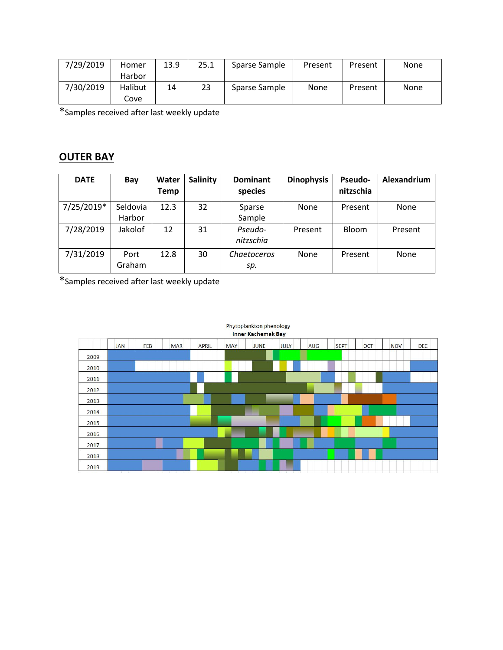| 7/29/2019 | Homer   | 13.9 | 25.1 | Sparse Sample | Present | Present | None |
|-----------|---------|------|------|---------------|---------|---------|------|
|           | Harbor  |      |      |               |         |         |      |
| 7/30/2019 | Halibut | 14   | 23   | Sparse Sample | None    | Present | None |
|           | Cove    |      |      |               |         |         |      |

\*Samples received after last weekly update

## **OUTER BAY**

| <b>DATE</b> | Bay                | Water<br><b>Temp</b> | <b>Salinity</b> | <b>Dominant</b><br>species | <b>Dinophysis</b> | <b>Pseudo-</b><br>nitzschia | Alexandrium |
|-------------|--------------------|----------------------|-----------------|----------------------------|-------------------|-----------------------------|-------------|
| 7/25/2019*  | Seldovia<br>Harbor | 12.3                 | 32              | Sparse<br>Sample           | None              | Present                     | <b>None</b> |
| 7/28/2019   | Jakolof            | 12                   | 31              | Pseudo-<br>nitzschia       | Present           | Bloom                       | Present     |
| 7/31/2019   | Port<br>Graham     | 12.8                 | 30              | Chaetoceros<br>sp.         | None              | Present                     | <b>None</b> |

\*Samples received after last weekly update

| <b>Inner Kachemak Bay</b> |            |                              |            |              |            |                                      |             |     |             |            |            |     |
|---------------------------|------------|------------------------------|------------|--------------|------------|--------------------------------------|-------------|-----|-------------|------------|------------|-----|
|                           | <b>JAN</b> | FEB                          | <b>MAR</b> | <b>APRIL</b> | <b>MAY</b> | <b>JUNE</b>                          | <b>JULY</b> | AUG | <b>SEPT</b> | <b>OCT</b> | <b>NOV</b> | DEC |
| 2009                      |            |                              |            |              |            |                                      |             |     |             |            |            |     |
| 2010                      |            |                              |            |              |            |                                      |             |     |             |            |            |     |
| 2011                      |            |                              |            |              |            |                                      |             |     |             |            |            |     |
| 2012                      |            |                              |            |              |            |                                      |             |     |             |            |            |     |
| 2013                      |            |                              |            |              |            |                                      |             |     |             |            |            |     |
| 2014                      |            |                              |            |              |            |                                      |             |     |             |            |            |     |
| 2015                      |            |                              |            |              |            |                                      |             |     |             |            |            |     |
| 2016                      |            |                              |            |              |            |                                      |             |     |             |            |            |     |
| 2017                      |            |                              |            |              |            |                                      |             |     |             |            |            |     |
| 2018                      |            |                              |            |              |            |                                      |             |     |             |            |            |     |
| 2019                      |            | an basic basic basic basic b |            |              |            | the state of the state and the large |             |     |             |            |            |     |

Phytoplankton phenology